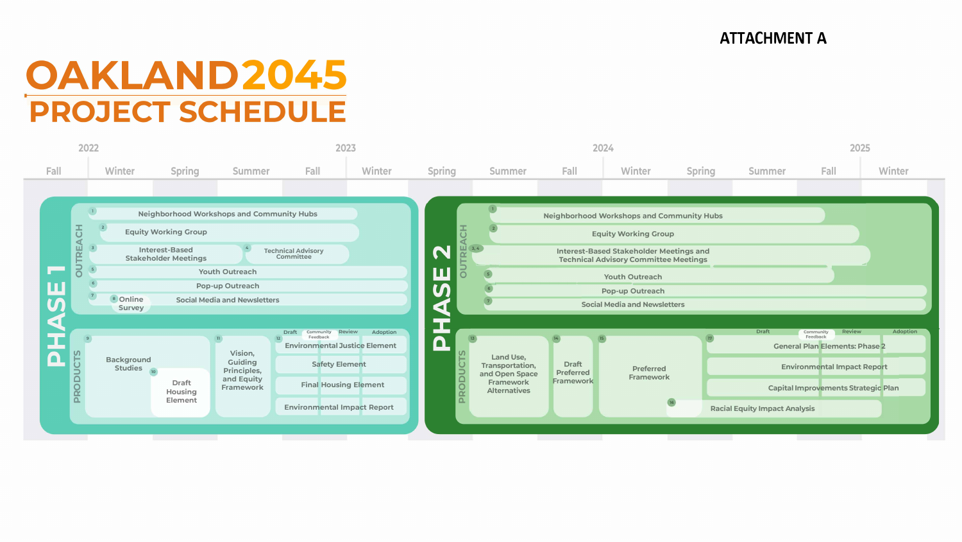## **OAKLAND2045 PROJECT SCHEDULE**



### **ATTACHMENT A**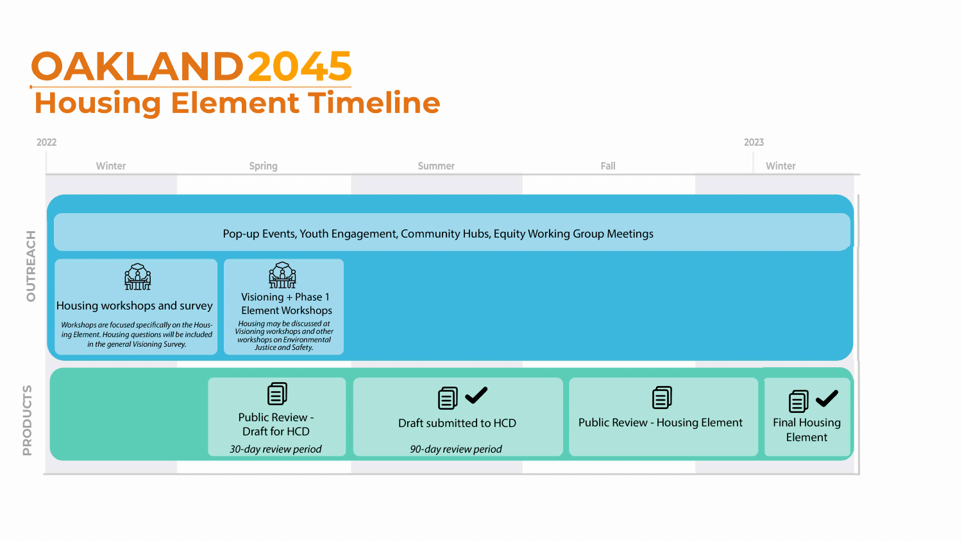# **OAKLAND2045 Housing Element Timeline**

| 2022                                        |                                                                                                                                                                        |                                                                                                                                                                      |                                                       |                 |
|---------------------------------------------|------------------------------------------------------------------------------------------------------------------------------------------------------------------------|----------------------------------------------------------------------------------------------------------------------------------------------------------------------|-------------------------------------------------------|-----------------|
|                                             | <b>Winter</b>                                                                                                                                                          | <b>Spring</b>                                                                                                                                                        | <b>Summer</b>                                         | Fall            |
|                                             |                                                                                                                                                                        |                                                                                                                                                                      |                                                       |                 |
|                                             |                                                                                                                                                                        |                                                                                                                                                                      |                                                       |                 |
| H<br>$\overline{C}$<br>$\blacktriangleleft$ | Pop-up Events, Youth Engagement, Community Hubs, Equity Working Group Me                                                                                               |                                                                                                                                                                      |                                                       |                 |
| RE<br>E<br>$\overline{C}$                   | Housing workshops and survey<br>Workshops are focused specifically on the Hous-<br>ing Element. Housing questions will be included<br>in the general Visioning Survey. | Visioning + Phase 1<br><b>Element Workshops</b><br>Housing may be discussed at<br>Visioning workshops and other<br>workshops on Environmental<br>Justice and Safety. |                                                       |                 |
|                                             |                                                                                                                                                                        |                                                                                                                                                                      |                                                       |                 |
| PRODUCTS                                    |                                                                                                                                                                        | 闫<br><b>Public Review -</b><br><b>Draft for HCD</b><br>30-day review period                                                                                          | $=$<br>Draft submitted to HCD<br>90-day review period | <b>Public R</b> |
|                                             |                                                                                                                                                                        |                                                                                                                                                                      |                                                       |                 |

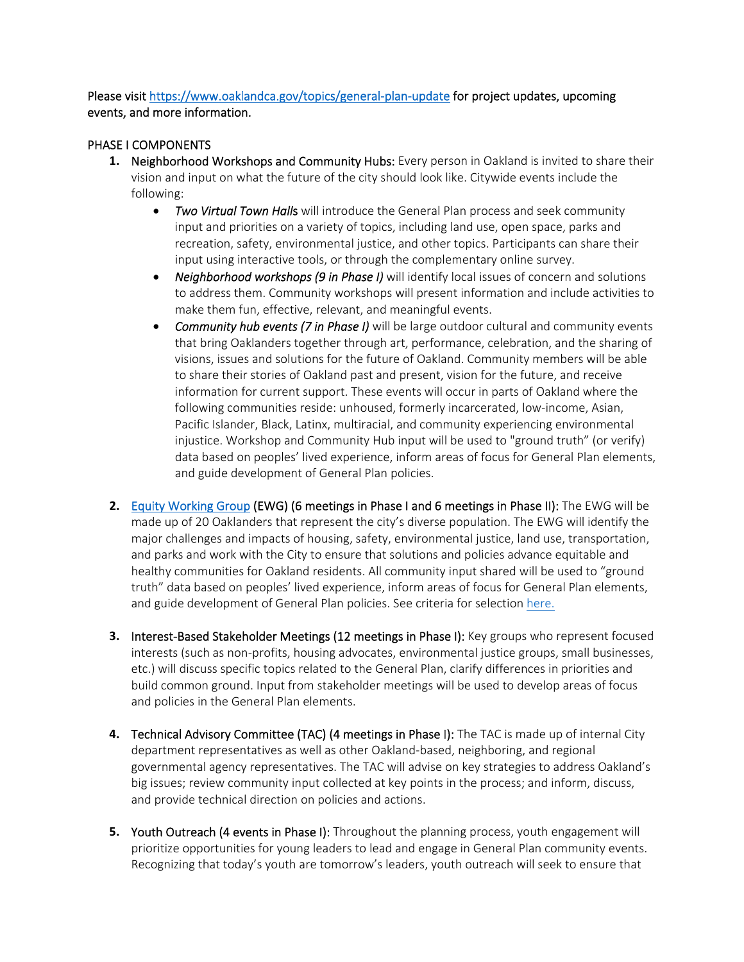Please visit https://www.oaklandca.gov/topics/general-plan-update for project updates, upcoming events, and more information.

### PHASE I COMPONENTS

- **1.** Neighborhood Workshops and Community Hubs: Every person in Oakland is invited to share their vision and input on what the future of the city should look like. Citywide events include the following:
	- **•** *Two Virtual Town Halls* will introduce the General Plan process and seek community input and priorities on a variety of topics, including land use, open space, parks and recreation, safety, environmental justice, and other topics. Participants can share their input using interactive tools, or through the complementary online survey.
	- *Neighborhood workshops (9 in Phase I)* will identify local issues of concern and solutions to address them. Community workshops will present information and include activities to make them fun, effective, relevant, and meaningful events.
	- *Community hub events (7 in Phase I)* will be large outdoor cultural and community events that bring Oaklanders together through art, performance, celebration, and the sharing of visions, issues and solutions for the future of Oakland. Community members will be able to share their stories of Oakland past and present, vision for the future, and receive information for current support. These events will occur in parts of Oakland where the following communities reside: unhoused, formerly incarcerated, low-income, Asian, Pacific Islander, Black, Latinx, multiracial, and community experiencing environmental injustice. Workshop and Community Hub input will be used to "ground truth" (or verify) data based on peoples' lived experience, inform areas of focus for General Plan elements, and guide development of General Plan policies.
- **2.** Equity Working Group (EWG) (6 meetings in Phase I and 6 meetings in Phase II): The EWG will be made up of 20 Oaklanders that represent the city's diverse population. The EWG will identify the major challenges and impacts of housing, safety, environmental justice, land use, transportation, and parks and work with the City to ensure that solutions and policies advance equitable and healthy communities for Oakland residents. All community input shared will be used to "ground truth" data based on peoples' lived experience, inform areas of focus for General Plan elements, and guide development of General Plan policies. See criteria for selection here.
- **3.** Interest-Based Stakeholder Meetings (12 meetings in Phase I): Key groups who represent focused interests (such as non‐profits, housing advocates, environmental justice groups, small businesses, etc.) will discuss specific topics related to the General Plan, clarify differences in priorities and build common ground. Input from stakeholder meetings will be used to develop areas of focus and policies in the General Plan elements.
- **4.** Technical Advisory Committee (TAC) (4 meetings in Phase I): The TAC is made up of internal City department representatives as well as other Oakland‐based, neighboring, and regional governmental agency representatives. The TAC will advise on key strategies to address Oakland's big issues; review community input collected at key points in the process; and inform, discuss, and provide technical direction on policies and actions.
- **5.** Youth Outreach (4 events in Phase I): Throughout the planning process, youth engagement will prioritize opportunities for young leaders to lead and engage in General Plan community events. Recognizing that today's youth are tomorrow's leaders, youth outreach will seek to ensure that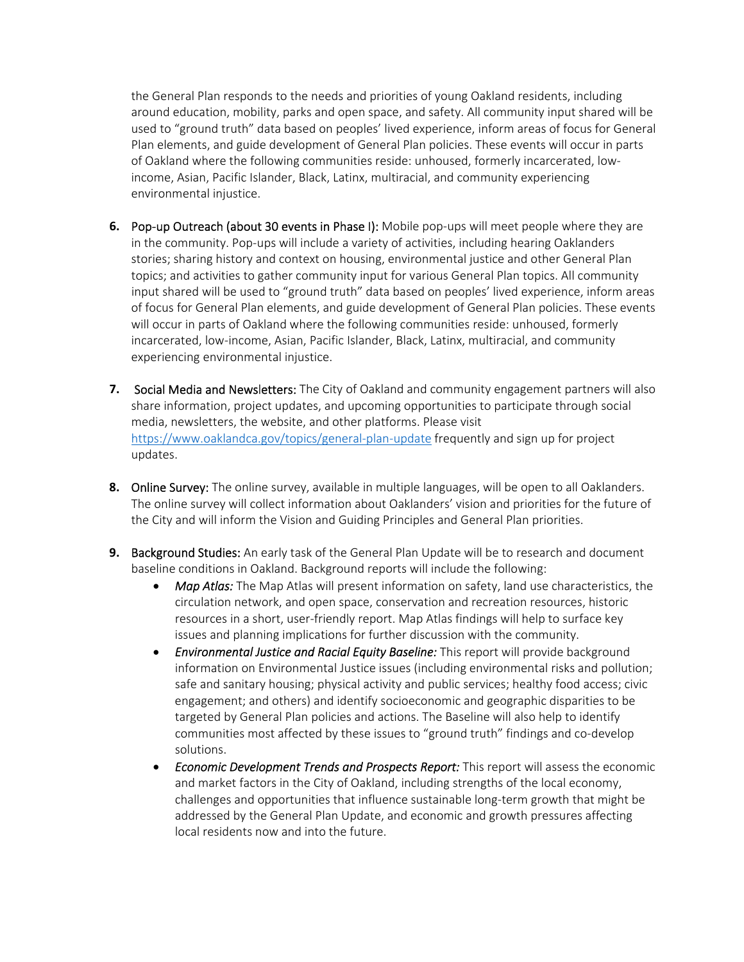the General Plan responds to the needs and priorities of young Oakland residents, including around education, mobility, parks and open space, and safety. All community input shared will be used to "ground truth" data based on peoples' lived experience, inform areas of focus for General Plan elements, and guide development of General Plan policies. These events will occur in parts of Oakland where the following communities reside: unhoused, formerly incarcerated, low‐ income, Asian, Pacific Islander, Black, Latinx, multiracial, and community experiencing environmental injustice.

- **6.** Pop-up Outreach (about 30 events in Phase I): Mobile pop-ups will meet people where they are in the community. Pop‐ups will include a variety of activities, including hearing Oaklanders stories; sharing history and context on housing, environmental justice and other General Plan topics; and activities to gather community input for various General Plan topics. All community input shared will be used to "ground truth" data based on peoples' lived experience, inform areas of focus for General Plan elements, and guide development of General Plan policies. These events will occur in parts of Oakland where the following communities reside: unhoused, formerly incarcerated, low‐income, Asian, Pacific Islander, Black, Latinx, multiracial, and community experiencing environmental injustice.
- **7.** Social Media and Newsletters: The City of Oakland and community engagement partners will also share information, project updates, and upcoming opportunities to participate through social media, newsletters, the website, and other platforms. Please visit https://www.oaklandca.gov/topics/general‐plan‐update frequently and sign up for project updates.
- **8.** Online Survey: The online survey, available in multiple languages, will be open to all Oaklanders. The online survey will collect information about Oaklanders' vision and priorities for the future of the City and will inform the Vision and Guiding Principles and General Plan priorities.
- **9.** Background Studies: An early task of the General Plan Update will be to research and document baseline conditions in Oakland. Background reports will include the following:
	- Map Atlas: The Map Atlas will present information on safety, land use characteristics, the circulation network, and open space, conservation and recreation resources, historic resources in a short, user‐friendly report. Map Atlas findings will help to surface key issues and planning implications for further discussion with the community.
	- *Environmental Justice and Racial Equity Baseline:* This report will provide background information on Environmental Justice issues (including environmental risks and pollution; safe and sanitary housing; physical activity and public services; healthy food access; civic engagement; and others) and identify socioeconomic and geographic disparities to be targeted by General Plan policies and actions. The Baseline will also help to identify communities most affected by these issues to "ground truth" findings and co‐develop solutions.
	- *Economic Development Trends and Prospects Report:* This report will assess the economic and market factors in the City of Oakland, including strengths of the local economy, challenges and opportunities that influence sustainable long‐term growth that might be addressed by the General Plan Update, and economic and growth pressures affecting local residents now and into the future.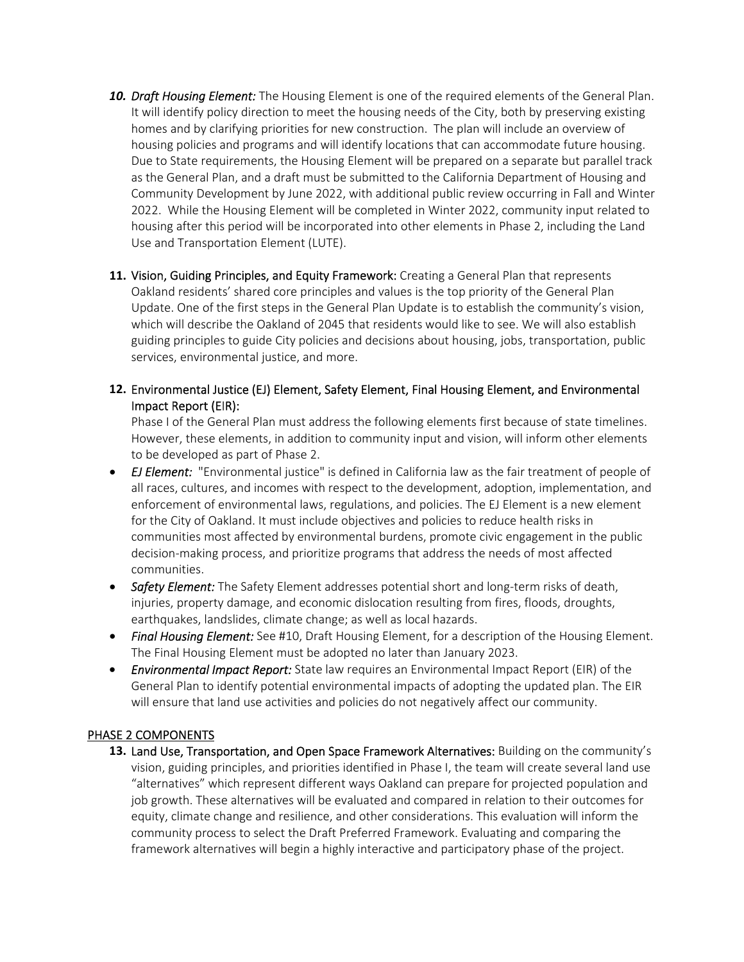- **10. Draft Housing Element:** The Housing Element is one of the required elements of the General Plan. It will identify policy direction to meet the housing needs of the City, both by preserving existing homes and by clarifying priorities for new construction. The plan will include an overview of housing policies and programs and will identify locations that can accommodate future housing. Due to State requirements, the Housing Element will be prepared on a separate but parallel track as the General Plan, and a draft must be submitted to the California Department of Housing and Community Development by June 2022, with additional public review occurring in Fall and Winter 2022. While the Housing Element will be completed in Winter 2022, community input related to housing after this period will be incorporated into other elements in Phase 2, including the Land Use and Transportation Element (LUTE).
- **11.** Vision, Guiding Principles, and Equity Framework: Creating a General Plan that represents Oakland residents' shared core principles and values is the top priority of the General Plan Update. One of the first steps in the General Plan Update is to establish the community's vision, which will describe the Oakland of 2045 that residents would like to see. We will also establish guiding principles to guide City policies and decisions about housing, jobs, transportation, public services, environmental justice, and more.
- **12.** Environmental Justice (EJ) Element, Safety Element, Final Housing Element, and Environmental Impact Report (EIR):

Phase I of the General Plan must address the following elements first because of state timelines. However, these elements, in addition to community input and vision, will inform other elements to be developed as part of Phase 2.

- *EJ Element:*  "Environmental justice" is defined in California law as the fair treatment of people of all races, cultures, and incomes with respect to the development, adoption, implementation, and enforcement of environmental laws, regulations, and policies. The EJ Element is a new element for the City of Oakland. It must include objectives and policies to reduce health risks in communities most affected by environmental burdens, promote civic engagement in the public decision‐making process, and prioritize programs that address the needs of most affected communities.
- *Safety Element:* The Safety Element addresses potential short and long-term risks of death, injuries, property damage, and economic dislocation resulting from fires, floods, droughts, earthquakes, landslides, climate change; as well as local hazards.
- Final Housing Element: See #10, Draft Housing Element, for a description of the Housing Element. The Final Housing Element must be adopted no later than January 2023.
- **Environmental Impact Report:** State law requires an Environmental Impact Report (EIR) of the General Plan to identify potential environmental impacts of adopting the updated plan. The EIR will ensure that land use activities and policies do not negatively affect our community.

#### PHASE 2 COMPONENTS

13. Land Use, Transportation, and Open Space Framework Alternatives: Building on the community's vision, guiding principles, and priorities identified in Phase I, the team will create several land use "alternatives" which represent different ways Oakland can prepare for projected population and job growth. These alternatives will be evaluated and compared in relation to their outcomes for equity, climate change and resilience, and other considerations. This evaluation will inform the community process to select the Draft Preferred Framework. Evaluating and comparing the framework alternatives will begin a highly interactive and participatory phase of the project.